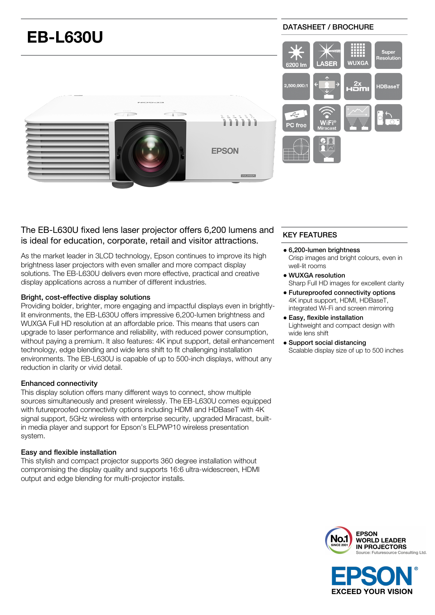

## The EB-L630U fixed lens laser projector offers 6,200 lumens and is ideal for education, corporate, retail and visitor attractions.

As the market leader in 3LCD technology, Epson continues to improve its high brightness laser projectors with even smaller and more compact display solutions. The EB-L630U delivers even more effective, practical and creative display applications across a number of different industries.

## Bright, cost-effective display solutions

Providing bolder, brighter, more engaging and impactful displays even in brightlylit environments, the EB-L630U offers impressive 6,200-lumen brightness and WUXGA Full HD resolution at an affordable price. This means that users can upgrade to laser performance and reliability, with reduced power consumption, without paying a premium. It also features: 4K input support, detail enhancement technology, edge blending and wide lens shift to fit challenging installation environments. The EB-L630U is capable of up to 500-inch displays, without any reduction in clarity or vivid detail.

## Enhanced connectivity

This display solution offers many different ways to connect, show multiple sources simultaneously and present wirelessly. The EB-L630U comes equipped with futureproofed connectivity options including HDMI and HDBaseT with 4K signal support, 5GHz wireless with enterprise security, upgraded Miracast, builtin media player and support for Epson's ELPWP10 wireless presentation system.

## Easy and flexible installation

This stylish and compact projector supports 360 degree installation without compromising the display quality and supports 16:6 ultra-widescreen, HDMI output and edge blending for multi-projector installs.

# KEY FEATURES

#### 6,200-lumen brightness

Crisp images and bright colours, even in well-lit rooms

- WUXGA resolution Sharp Full HD images for excellent clarity
- Futureproofed connectivity options 4K input support, HDMI, HDBaseT, integrated Wi-Fi and screen mirroring
- Easy, flexible installation Lightweight and compact design with wide lens shift
- Support social distancing Scalable display size of up to 500 inches



**EXCEED YOUR VISION**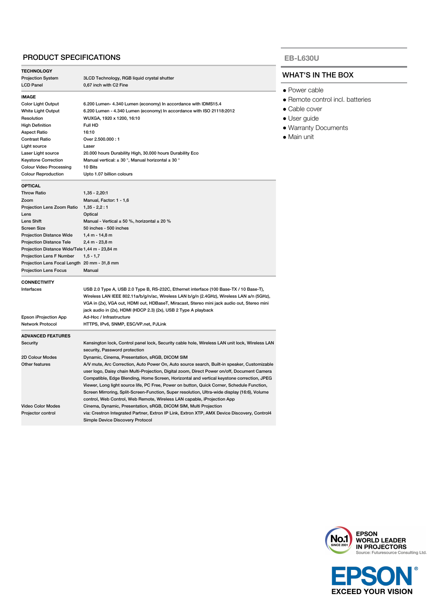## PRODUCT SPECIFICATIONS

| <b>TECHNOLOGY</b>                              |                                                                                                |  |
|------------------------------------------------|------------------------------------------------------------------------------------------------|--|
| <b>Projection System</b>                       | 3LCD Technology, RGB liquid crystal shutter                                                    |  |
| <b>LCD Panel</b>                               | 0,67 inch with C2 Fine                                                                         |  |
| <b>IMAGE</b>                                   |                                                                                                |  |
| <b>Color Light Output</b>                      | 6.200 Lumen- 4.340 Lumen (economy) In accordance with IDMS15.4                                 |  |
| <b>White Light Output</b>                      | 6.200 Lumen - 4.340 Lumen (economy) In accordance with ISO 21118:2012                          |  |
| Resolution                                     | WUXGA, 1920 x 1200, 16:10                                                                      |  |
| <b>High Definition</b>                         | Full HD                                                                                        |  |
| <b>Aspect Ratio</b>                            | 16:10                                                                                          |  |
| <b>Contrast Ratio</b>                          | Over 2.500.000:1                                                                               |  |
| Light source                                   | Laser                                                                                          |  |
| Laser Light source                             | 20.000 hours Durability High, 30.000 hours Durability Eco                                      |  |
| <b>Keystone Correction</b>                     | Manual vertical: $\pm$ 30 °, Manual horizontal $\pm$ 30 °                                      |  |
| <b>Colour Video Processing</b>                 | 10 Bits                                                                                        |  |
| <b>Colour Reproduction</b>                     | Upto 1.07 billion colours                                                                      |  |
|                                                |                                                                                                |  |
| <b>OPTICAL</b>                                 |                                                                                                |  |
| <b>Throw Ratio</b>                             | $1,35 - 2,20:1$                                                                                |  |
| Zoom                                           | Manual, Factor: 1 - 1,6                                                                        |  |
| Projection Lens Zoom Ratio                     | $1,35 - 2,2:1$                                                                                 |  |
| Lens                                           | Optical                                                                                        |  |
| Lens Shift                                     | Manual - Vertical $\pm$ 50 %, horizontal $\pm$ 20 %                                            |  |
| <b>Screen Size</b>                             | 50 inches - 500 inches                                                                         |  |
| <b>Projection Distance Wide</b>                | $1,4 m - 14,8 m$                                                                               |  |
| <b>Projection Distance Tele</b>                | 2,4 m - 23,8 m                                                                                 |  |
| Projection Distance Wide/Tele 1,44 m - 23,84 m |                                                                                                |  |
| Projection Lens F Number                       | $1, 5 - 1, 7$                                                                                  |  |
| Projection Lens Focal Length 20 mm - 31,8 mm   |                                                                                                |  |
| <b>Projection Lens Focus</b>                   | Manual                                                                                         |  |
| <b>CONNECTIVITY</b>                            |                                                                                                |  |
| Interfaces                                     | USB 2.0 Type A, USB 2.0 Type B, RS-232C, Ethernet interface (100 Base-TX / 10 Base-T),         |  |
|                                                | Wireless LAN IEEE 802.11a/b/g/n/ac, Wireless LAN b/g/n (2.4GHz), Wireless LAN a/n (5GHz),      |  |
|                                                | VGA in (2x), VGA out, HDMI out, HDBaseT, Miracast, Stereo mini jack audio out, Stereo mini     |  |
|                                                | jack audio in (2x), HDMI (HDCP 2.3) (2x), USB 2 Type A playback                                |  |
| Epson iProjection App                          | Ad-Hoc / Infrastructure                                                                        |  |
| <b>Network Protocol</b>                        | HTTPS, IPv6, SNMP, ESC/VP.net, PJLink                                                          |  |
|                                                |                                                                                                |  |
| <b>ADVANCED FEATURES</b>                       |                                                                                                |  |
| Security                                       | Kensington lock, Control panel lock, Security cable hole, Wireless LAN unit lock, Wireless LAN |  |
|                                                | security, Password protection                                                                  |  |
| 2D Colour Modes                                | Dynamic, Cinema, Presentation, sRGB, DICOM SIM                                                 |  |
| Other features                                 | A/V mute, Arc Correction, Auto Power On, Auto source search, Built-in speaker, Customizable    |  |
|                                                | user logo, Daisy chain Multi-Projection, Digital zoom, Direct Power on/off, Document Camera    |  |
|                                                | Compatible, Edge Blending, Home Screen, Horizontal and vertical keystone correction, JPEG      |  |
|                                                | Viewer, Long light source life, PC Free, Power on button, Quick Corner, Schedule Function,     |  |
|                                                | Screen Mirroring, Split-Screen-Function, Super resolution, Ultra-wide display (16:6), Volume   |  |
|                                                | control, Web Control, Web Remote, Wireless LAN capable, iProjection App                        |  |
| <b>Video Color Modes</b>                       | Cinema, Dynamic, Presentation, sRGB, DICOM SIM, Multi Projection                               |  |
| Projector control                              | via: Crestron Integrated Partner, Extron IP Link, Extron XTP, AMX Device Discovery, Control4   |  |
|                                                | Simple Device Discovery Protocol                                                               |  |

#### **EB-L630U**

## WHAT'S IN THE BOX

- Power cable
- Remote control incl. batteries
- Cable cover
- User guide
- Warranty Documents
- Main unit



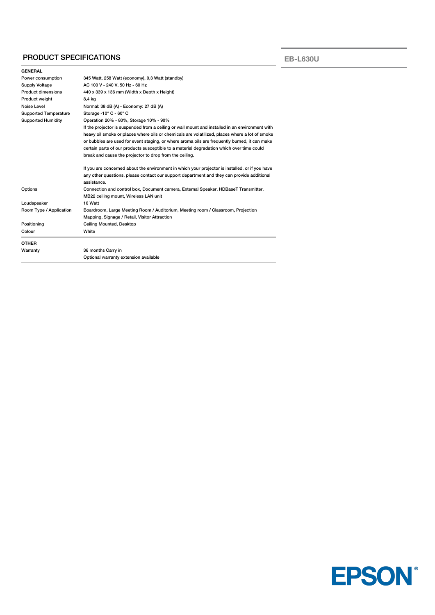## PRODUCT SPECIFICATIONS

**EB-L630U**

| <b>GENERAL</b>               |                                                                                                 |  |
|------------------------------|-------------------------------------------------------------------------------------------------|--|
| Power consumption            | 345 Watt, 258 Watt (economy), 0,3 Watt (standby)                                                |  |
| Supply Voltage               | AC 100 V - 240 V, 50 Hz - 60 Hz                                                                 |  |
| <b>Product dimensions</b>    | 440 x 339 x 136 mm (Width x Depth x Height)                                                     |  |
| Product weight               | 8,4 kg                                                                                          |  |
| Noise Level                  | Normal: 38 dB (A) - Economy: 27 dB (A)                                                          |  |
| <b>Supported Temperature</b> | Storage -10 $^{\circ}$ C - 60 $^{\circ}$ C                                                      |  |
| <b>Supported Humidity</b>    | Operation 20% - 80%, Storage 10% - 90%                                                          |  |
|                              | If the projector is suspended from a ceiling or wall mount and installed in an environment with |  |
|                              | heavy oil smoke or places where oils or chemicals are volatilized, places where a lot of smoke  |  |
|                              | or bubbles are used for event staging, or where aroma oils are frequently burned, it can make   |  |
|                              | certain parts of our products susceptible to a material degradation which over time could       |  |
|                              | break and cause the projector to drop from the ceiling.                                         |  |
|                              | If you are concerned about the environment in which your projector is installed, or if you have |  |
|                              | any other questions, please contact our support department and they can provide additional      |  |
|                              | assistance.                                                                                     |  |
| Options                      | Connection and control box, Document camera, External Speaker, HDBaseT Transmitter,             |  |
|                              | MB22 ceiling mount, Wireless LAN unit                                                           |  |
| Loudspeaker                  | 10 Watt                                                                                         |  |
| Room Type / Application      | Boardroom, Large Meeting Room / Auditorium, Meeting room / Classroom, Projection                |  |
|                              | Mapping, Signage / Retail, Visitor Attraction                                                   |  |
| Positioning                  | Ceiling Mounted, Desktop                                                                        |  |
| Colour                       | White                                                                                           |  |
| <b>OTHER</b>                 |                                                                                                 |  |
| Warranty                     | 36 months Carry in                                                                              |  |
|                              | Optional warranty extension available                                                           |  |